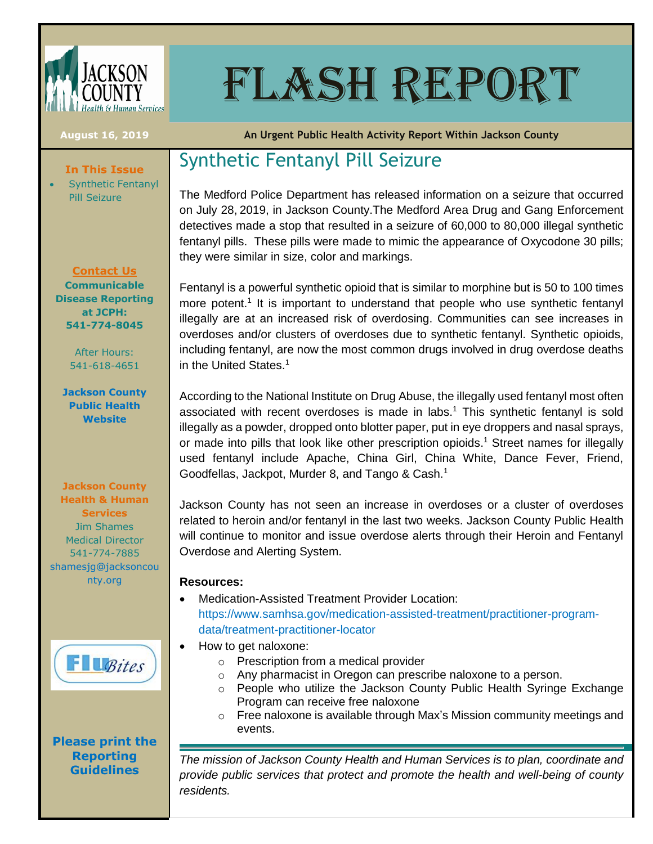

# FLASH REPORT

**In This Issue** Synthetic Fentanyl

Pill Seizure

**August 16, 2019 An Urgent Public Health Activity Report Within Jackson County**

# Synthetic Fentanyl Pill Seizure

The Medford Police Department has released information on a seizure that occurred on July 28, 2019, in Jackson County.The Medford Area Drug and Gang Enforcement detectives made a stop that resulted in a seizure of 60,000 to 80,000 illegal synthetic fentanyl pills. These pills were made to mimic the appearance of Oxycodone 30 pills; they were similar in size, color and markings.

Fentanyl is a powerful synthetic opioid that is similar to morphine but is 50 to 100 times more potent.<sup>1</sup> It is important to understand that people who use synthetic fentanyl illegally are at an increased risk of overdosing. Communities can see increases in overdoses and/or clusters of overdoses due to synthetic fentanyl. Synthetic opioids, including fentanyl, are now the most common drugs involved in drug overdose deaths in the United States.<sup>1</sup>

According to the National Institute on Drug Abuse, the illegally used fentanyl most often associated with recent overdoses is made in labs.<sup>1</sup> This synthetic fentanyl is sold illegally as a powder, dropped onto blotter paper, put in eye droppers and nasal sprays, or made into pills that look like other prescription opioids. <sup>1</sup> Street names for illegally used fentanyl include Apache, China Girl, China White, Dance Fever, Friend, Goodfellas, Jackpot, Murder 8, and Tango & Cash.<sup>1</sup>

Jackson County has not seen an increase in overdoses or a cluster of overdoses related to heroin and/or fentanyl in the last two weeks. Jackson County Public Health will continue to monitor and issue overdose alerts through their Heroin and Fentanyl Overdose and Alerting System.

#### **Resources:**

- Medication-Assisted Treatment Provider Location: [https://www.samhsa.gov/medication-assisted-treatment/practitioner-program](https://www.samhsa.gov/medication-assisted-treatment/practitioner-program-data/treatment-practitioner-locator)[data/treatment-practitioner-locator](https://www.samhsa.gov/medication-assisted-treatment/practitioner-program-data/treatment-practitioner-locator)
- How to get naloxone:
	- o Prescription from a medical provider
	- o Any pharmacist in Oregon can prescribe naloxone to a person.
	- $\circ$  People who utilize the Jackson County Public Health Syringe Exchange Program can receive free naloxone
	- o Free naloxone is available through Max's Mission community meetings and events.

*The mission of Jackson County Health and Human Services is to plan, coordinate and provide public services that protect and promote the health and well-being of county residents.*

**Contact Us Communicable Disease Reporting at JCPH: 541-774-8045**

> After Hours: 541-618-4651

**[Jackson County](http://jacksoncountyor.org/hhs/Public-Health)  [Public Health](http://jacksoncountyor.org/hhs/Public-Health)  [Website](http://jacksoncountyor.org/hhs/Public-Health)**

**Jackson County Health & Human Services** Jim Shames Medical Director 541-774-7885 [shamesjg@jacksoncou](mailto:shamesjg@jacksoncounty.org) [nty.org](mailto:shamesjg@jacksoncounty.org)



### **[Please print the](http://public.health.oregon.gov/DiseasesConditions/CommunicableDisease/ReportingCommunicableDisease/Pages/index.aspx#posters) [Reporting](http://public.health.oregon.gov/DiseasesConditions/CommunicableDisease/ReportingCommunicableDisease/Pages/index.aspx#posters)  [Guidelines](http://public.health.oregon.gov/DiseasesConditions/CommunicableDisease/ReportingCommunicableDisease/Pages/index.aspx#posters)**